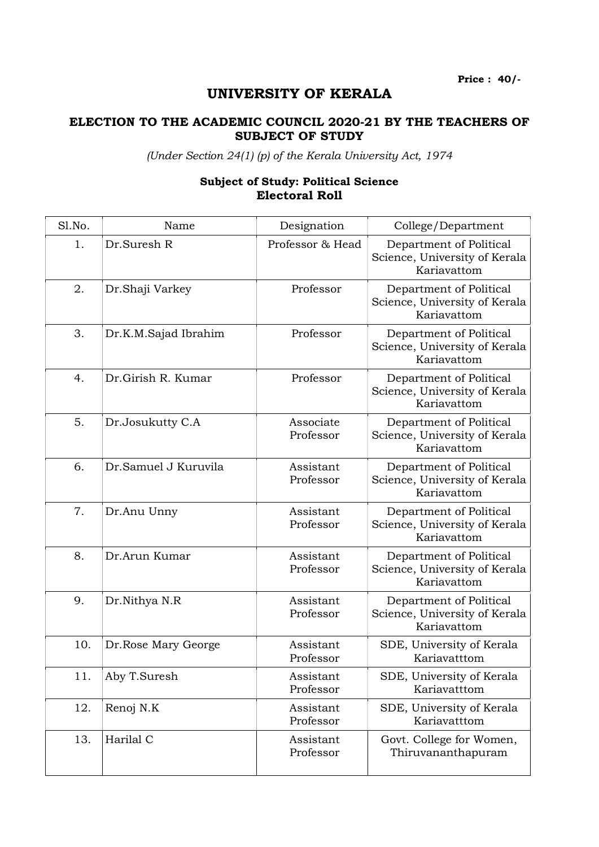Price : 40/-

## UNIVERSITY OF KERALA

## ELECTION TO THE ACADEMIC COUNCIL 2020-21 BY THE TEACHERS OF SUBJECT OF STUDY

(Under Section 24(1) (p) of the Kerala University Act, 1974

## Subject of Study: Political Science Electoral Roll

| Sl.No. | Name                 | Designation            | College/Department                                                      |
|--------|----------------------|------------------------|-------------------------------------------------------------------------|
| 1.     | Dr.Suresh R          | Professor & Head       | Department of Political<br>Science, University of Kerala<br>Kariavattom |
| 2.     | Dr.Shaji Varkey      | Professor              | Department of Political<br>Science, University of Kerala<br>Kariavattom |
| 3.     | Dr.K.M.Sajad Ibrahim | Professor              | Department of Political<br>Science, University of Kerala<br>Kariavattom |
| 4.     | Dr.Girish R. Kumar   | Professor              | Department of Political<br>Science, University of Kerala<br>Kariavattom |
| 5.     | Dr.Josukutty C.A     | Associate<br>Professor | Department of Political<br>Science, University of Kerala<br>Kariavattom |
| 6.     | Dr.Samuel J Kuruvila | Assistant<br>Professor | Department of Political<br>Science, University of Kerala<br>Kariavattom |
| 7.     | Dr.Anu Unny          | Assistant<br>Professor | Department of Political<br>Science, University of Kerala<br>Kariavattom |
| 8.     | Dr.Arun Kumar        | Assistant<br>Professor | Department of Political<br>Science, University of Kerala<br>Kariavattom |
| 9.     | Dr.Nithya N.R        | Assistant<br>Professor | Department of Political<br>Science, University of Kerala<br>Kariavattom |
| 10.    | Dr.Rose Mary George  | Assistant<br>Professor | SDE, University of Kerala<br>Kariavatttom                               |
| 11.    | Aby T.Suresh         | Assistant<br>Professor | SDE, University of Kerala<br>Kariavatttom                               |
| 12.    | Renoj N.K            | Assistant<br>Professor | SDE, University of Kerala<br>Kariavatttom                               |
| 13.    | Harilal C            | Assistant<br>Professor | Govt. College for Women,<br>Thiruvananthapuram                          |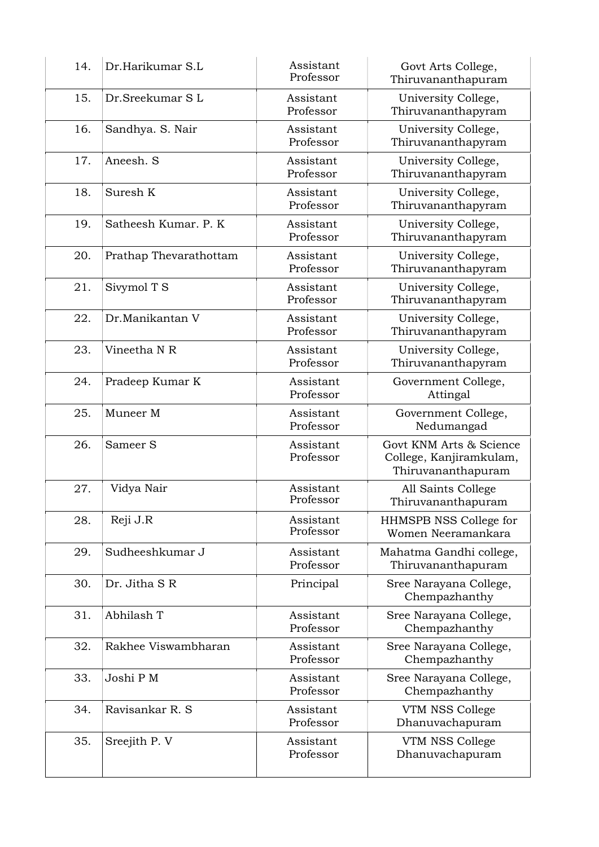| 14. | Dr.Harikumar S.L       | Assistant<br>Professor | Govt Arts College,<br>Thiruvananthapuram                                 |
|-----|------------------------|------------------------|--------------------------------------------------------------------------|
| 15. | Dr.Sreekumar SL        | Assistant<br>Professor | University College,<br>Thiruvananthapyram                                |
| 16. | Sandhya. S. Nair       | Assistant<br>Professor | University College,<br>Thiruvananthapyram                                |
| 17. | Aneesh. S              | Assistant<br>Professor | University College,<br>Thiruvananthapyram                                |
| 18. | Suresh K               | Assistant<br>Professor | University College,<br>Thiruvananthapyram                                |
| 19. | Satheesh Kumar, P. K   | Assistant<br>Professor | University College,<br>Thiruvananthapyram                                |
| 20. | Prathap Thevarathottam | Assistant<br>Professor | University College,<br>Thiruvananthapyram                                |
| 21. | Sivymol T S            | Assistant<br>Professor | University College,<br>Thiruvananthapyram                                |
| 22. | Dr.Manikantan V        | Assistant<br>Professor | University College,<br>Thiruvananthapyram                                |
| 23. | Vineetha N R           | Assistant<br>Professor | University College,<br>Thiruvananthapyram                                |
| 24. | Pradeep Kumar K        | Assistant<br>Professor | Government College,<br>Attingal                                          |
| 25. | Muneer M               | Assistant<br>Professor | Government College,<br>Nedumangad                                        |
| 26. | Sameer S               | Assistant<br>Professor | Govt KNM Arts & Science<br>College, Kanjiramkulam,<br>Thiruvananthapuram |
| 27. | Vidya Nair             | Assistant<br>Professor | All Saints College<br>Thiruvananthapuram                                 |
| 28. | Reji J.R               | Assistant<br>Professor | HHMSPB NSS College for<br>Women Neeramankara                             |
| 29. | Sudheeshkumar J        | Assistant<br>Professor | Mahatma Gandhi college,<br>Thiruvananthapuram                            |
| 30. | Dr. Jitha SR           | Principal              | Sree Narayana College,<br>Chempazhanthy                                  |
| 31. | Abhilash T             | Assistant<br>Professor | Sree Narayana College,<br>Chempazhanthy                                  |
| 32. | Rakhee Viswambharan    | Assistant<br>Professor | Sree Narayana College,<br>Chempazhanthy                                  |
| 33. | Joshi P M              | Assistant<br>Professor | Sree Narayana College,<br>Chempazhanthy                                  |
| 34. | Ravisankar R. S        | Assistant<br>Professor | VTM NSS College<br>Dhanuvachapuram                                       |
| 35. | Sreejith P. V          | Assistant<br>Professor | VTM NSS College<br>Dhanuvachapuram                                       |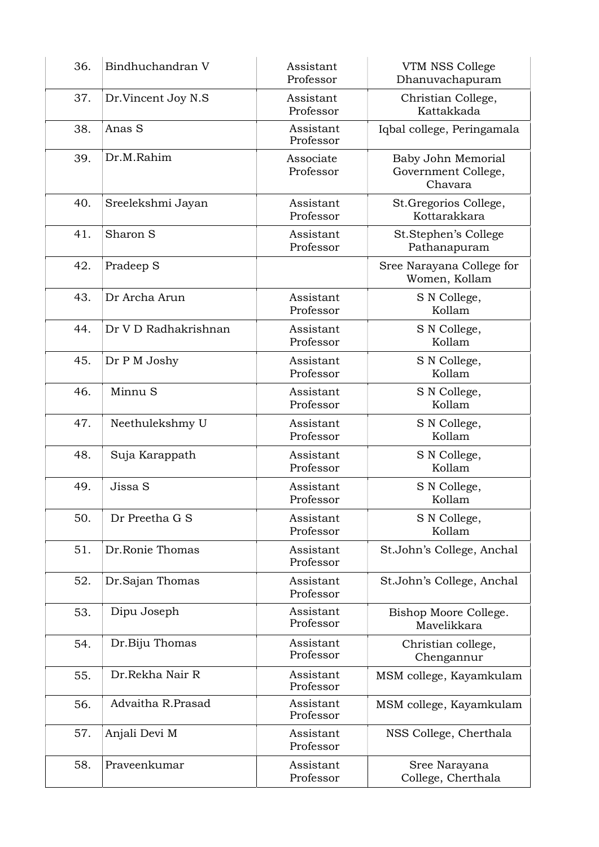| 36. | Bindhuchandran V     | Assistant<br>Professor | VTM NSS College<br>Dhanuvachapuram                   |
|-----|----------------------|------------------------|------------------------------------------------------|
| 37. | Dr.Vincent Joy N.S   | Assistant<br>Professor | Christian College,<br>Kattakkada                     |
| 38. | Anas S               | Assistant<br>Professor | Iqbal college, Peringamala                           |
| 39. | Dr.M.Rahim           | Associate<br>Professor | Baby John Memorial<br>Government College,<br>Chavara |
| 40. | Sreelekshmi Jayan    | Assistant<br>Professor | St.Gregorios College,<br>Kottarakkara                |
| 41. | Sharon S             | Assistant<br>Professor | St.Stephen's College<br>Pathanapuram                 |
| 42. | Pradeep S            |                        | Sree Narayana College for<br>Women, Kollam           |
| 43. | Dr Archa Arun        | Assistant<br>Professor | S N College,<br>Kollam                               |
| 44. | Dr V D Radhakrishnan | Assistant<br>Professor | S N College,<br>Kollam                               |
| 45. | Dr P M Joshy         | Assistant<br>Professor | S N College,<br>Kollam                               |
| 46. | Minnu S              | Assistant<br>Professor | S N College,<br>Kollam                               |
| 47. | Neethulekshmy U      | Assistant<br>Professor | S N College,<br>Kollam                               |
| 48. | Suja Karappath       | Assistant<br>Professor | S N College,<br>Kollam                               |
| 49. | Jissa S              | Assistant<br>Professor | S N College,<br>Kollam                               |
| 50. | Dr Preetha G S       | Assistant<br>Professor | S N College,<br>Kollam                               |
| 51. | Dr.Ronie Thomas      | Assistant<br>Professor | St.John's College, Anchal                            |
| 52. | Dr.Sajan Thomas      | Assistant<br>Professor | St.John's College, Anchal                            |
| 53. | Dipu Joseph          | Assistant<br>Professor | Bishop Moore College.<br>Mavelikkara                 |
| 54. | Dr.Biju Thomas       | Assistant<br>Professor | Christian college,<br>Chengannur                     |
| 55. | Dr.Rekha Nair R      | Assistant<br>Professor | MSM college, Kayamkulam                              |
| 56. | Advaitha R.Prasad    | Assistant<br>Professor | MSM college, Kayamkulam                              |
| 57. | Anjali Devi M        | Assistant<br>Professor | NSS College, Cherthala                               |
| 58. | Praveenkumar         | Assistant<br>Professor | Sree Narayana<br>College, Cherthala                  |